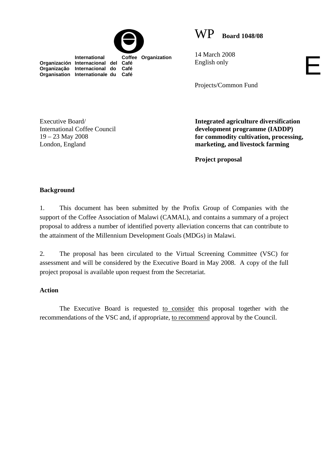

WP **Board 1048/08**

 **International Coffee Organization Organización Internacional del Café Organização Internacional do Café Organisation Internationale du Café**

14 March 2008 English only

Projects/Common Fund

Executive Board/ International Coffee Council 19 – 23 May 2008 London, England

**Integrated agriculture diversification development programme (IADDP) for commodity cultivation, processing, marketing, and livestock farming** 

E

**Project proposal** 

## **Background**

1. This document has been submitted by the Profix Group of Companies with the support of the Coffee Association of Malawi (CAMAL), and contains a summary of a project proposal to address a number of identified poverty alleviation concerns that can contribute to the attainment of the Millennium Development Goals (MDGs) in Malawi.

2. The proposal has been circulated to the Virtual Screening Committee (VSC) for assessment and will be considered by the Executive Board in May 2008. A copy of the full project proposal is available upon request from the Secretariat.

## **Action**

The Executive Board is requested to consider this proposal together with the recommendations of the VSC and, if appropriate, to recommend approval by the Council.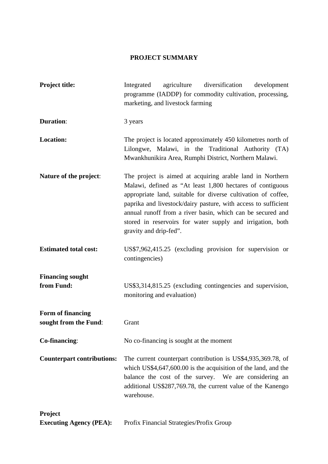## **PROJECT SUMMARY**

| <b>Project title:</b>                      | diversification<br>Integrated<br>agriculture<br>development<br>programme (IADDP) for commodity cultivation, processing,<br>marketing, and livestock farming                                                                                                                                                                                                                                                     |  |  |  |
|--------------------------------------------|-----------------------------------------------------------------------------------------------------------------------------------------------------------------------------------------------------------------------------------------------------------------------------------------------------------------------------------------------------------------------------------------------------------------|--|--|--|
| <b>Duration:</b>                           | 3 years                                                                                                                                                                                                                                                                                                                                                                                                         |  |  |  |
| <b>Location:</b>                           | The project is located approximately 450 kilometres north of<br>Lilongwe, Malawi, in the Traditional Authority (TA)<br>Mwankhunikira Area, Rumphi District, Northern Malawi.                                                                                                                                                                                                                                    |  |  |  |
| Nature of the project:                     | The project is aimed at acquiring arable land in Northern<br>Malawi, defined as "At least 1,800 hectares of contiguous<br>appropriate land, suitable for diverse cultivation of coffee,<br>paprika and livestock/dairy pasture, with access to sufficient<br>annual runoff from a river basin, which can be secured and<br>stored in reservoirs for water supply and irrigation, both<br>gravity and drip-fed". |  |  |  |
| <b>Estimated total cost:</b>               | US\$7,962,415.25 (excluding provision for supervision or<br>contingencies)                                                                                                                                                                                                                                                                                                                                      |  |  |  |
| <b>Financing sought</b><br>from Fund:      | US\$3,314,815.25 (excluding contingencies and supervision,<br>monitoring and evaluation)                                                                                                                                                                                                                                                                                                                        |  |  |  |
| Form of financing<br>sought from the Fund: | Grant                                                                                                                                                                                                                                                                                                                                                                                                           |  |  |  |
| Co-financing:                              | No co-financing is sought at the moment                                                                                                                                                                                                                                                                                                                                                                         |  |  |  |
| <b>Counterpart contributions:</b>          | The current counterpart contribution is US\$4,935,369.78, of<br>which US\$4,647,600.00 is the acquisition of the land, and the<br>balance the cost of the survey. We are considering an<br>additional US\$287,769.78, the current value of the Kanengo<br>warehouse.                                                                                                                                            |  |  |  |
| Project                                    |                                                                                                                                                                                                                                                                                                                                                                                                                 |  |  |  |
| <b>Executing Agency (PEA):</b>             | Profix Financial Strategies/Profix Group                                                                                                                                                                                                                                                                                                                                                                        |  |  |  |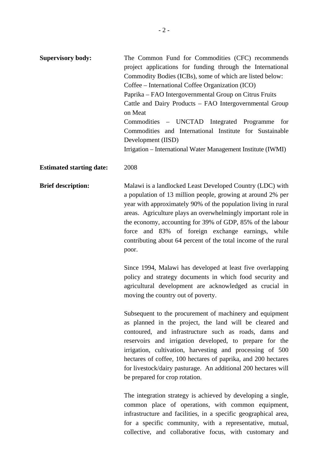| <b>Supervisory body:</b>        | The Common Fund for Commodities (CFC) recommends<br>project applications for funding through the International<br>Commodity Bodies (ICBs), some of which are listed below:<br>Coffee – International Coffee Organization (ICO)<br>Paprika – FAO Intergovernmental Group on Citrus Fruits<br>Cattle and Dairy Products - FAO Intergovernmental Group<br>on Meat<br>Commodities - UNCTAD Integrated Programme<br>for<br>Commodities and International Institute for Sustainable<br>Development (IISD)<br>Irrigation – International Water Management Institute (IWMI) |
|---------------------------------|---------------------------------------------------------------------------------------------------------------------------------------------------------------------------------------------------------------------------------------------------------------------------------------------------------------------------------------------------------------------------------------------------------------------------------------------------------------------------------------------------------------------------------------------------------------------|
| <b>Estimated starting date:</b> | 2008                                                                                                                                                                                                                                                                                                                                                                                                                                                                                                                                                                |
| <b>Brief description:</b>       | Malawi is a landlocked Least Developed Country (LDC) with<br>a population of 13 million people, growing at around 2% per<br>year with approximately 90% of the population living in rural<br>areas. Agriculture plays an overwhelmingly important role in<br>the economy, accounting for 39% of GDP, 85% of the labour<br>force and 83% of foreign exchange earnings, while<br>contributing about 64 percent of the total income of the rural<br>poor.                                                                                                              |
|                                 | Since 1994, Malawi has developed at least five overlapping<br>policy and strategy documents in which food security and<br>agricultural development are acknowledged as crucial in<br>moving the country out of poverty.                                                                                                                                                                                                                                                                                                                                             |
|                                 | Subsequent to the procurement of machinery and equipment<br>as planned in the project, the land will be cleared and<br>contoured, and infrastructure such as roads, dams and<br>reservoirs and irrigation developed, to prepare for the<br>irrigation, cultivation, harvesting and processing of 500<br>hectares of coffee, 100 hectares of paprika, and 200 hectares<br>for livestock/dairy pasturage. An additional 200 hectares will<br>be prepared for crop rotation.                                                                                           |
|                                 | The integration strategy is achieved by developing a single,<br>common place of operations, with common equipment,<br>infrastructure and facilities, in a specific geographical area,                                                                                                                                                                                                                                                                                                                                                                               |

for a specific community, with a representative, mutual, collective, and collaborative focus, with customary and